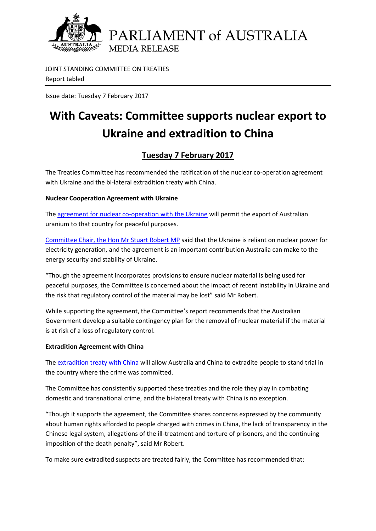

JOINT STANDING COMMITTEE ON TREATIES Report tabled

Issue date: Tuesday 7 February 2017

## **With Caveats: Committee supports nuclear export to Ukraine and extradition to China**

## **Tuesday 7 February 2017**

The Treaties Committee has recommended the ratification of the nuclear co-operation agreement with Ukraine and the bi-lateral extradition treaty with China.

## **Nuclear Cooperation Agreement with Ukraine**

The agreement for [nuclear co-operation with](http://www.aph.gov.au/Parliamentary_Business/Committees/Joint/Treaties/NuclearCoop-Ukraine/Treaty_being_considered) the Ukraine will permit the export of Australian uranium to that country for peaceful purposes.

[Committee Chair, the Hon Mr Stuart Robert MP](http://www.aph.gov.au/Senators_and_Members/Parliamentarian?MPID=HWT) said that the Ukraine is reliant on nuclear power for electricity generation, and the agreement is an important contribution Australia can make to the energy security and stability of Ukraine.

"Though the agreement incorporates provisions to ensure nuclear material is being used for peaceful purposes, the Committee is concerned about the impact of recent instability in Ukraine and the risk that regulatory control of the material may be lost" said Mr Robert.

While supporting the agreement, the Committee's report recommends that the Australian Government develop a suitable contingency plan for the removal of nuclear material if the material is at risk of a loss of regulatory control.

## **Extradition Agreement with China**

The [extradition treaty with China](http://www.aph.gov.au/Parliamentary_Business/Committees/Joint/Treaties/Extradition-China/Treaty_being_considered) will allow Australia and China to extradite people to stand trial in the country where the crime was committed.

The Committee has consistently supported these treaties and the role they play in combating domestic and transnational crime, and the bi-lateral treaty with China is no exception.

"Though it supports the agreement, the Committee shares concerns expressed by the community about human rights afforded to people charged with crimes in China, the lack of transparency in the Chinese legal system, allegations of the ill-treatment and torture of prisoners, and the continuing imposition of the death penalty", said Mr Robert.

To make sure extradited suspects are treated fairly, the Committee has recommended that: